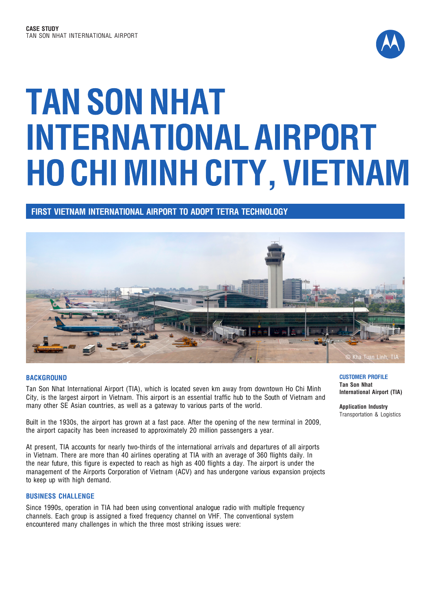

# **TAN SON NHAT INTERNATIONAL AIRPORT HO CHI MINH CITY, VIETNAM**

**FIRST VIETNAM INTERNATIONAL AIRPORT TO ADOPT TETRA TECHNOLOGY**



#### **BACKGROUND**

Tan Son Nhat International Airport (TIA), which is located seven km away from downtown Ho Chi Minh City, is the largest airport in Vietnam. This airport is an essential traffic hub to the South of Vietnam and many other SE Asian countries, as well as a gateway to various parts of the world.

Built in the 1930s, the airport has grown at a fast pace. After the opening of the new terminal in 2009, the airport capacity has been increased to approximately 20 million passengers a year.

At present, TIA accounts for nearly two-thirds of the international arrivals and departures of all airports in Vietnam. There are more than 40 airlines operating at TIA with an average of 360 flights daily. In the near future, this figure is expected to reach as high as 400 flights a day. The airport is under the management of the Airports Corporation of Vietnam (ACV) and has undergone various expansion projects to keep up with high demand.

#### **BUSINESS CHALLENGE**

Since 1990s, operation in TIA had been using conventional analogue radio with multiple frequency channels. Each group is assigned a fixed frequency channel on VHF. The conventional system encountered many challenges in which the three most striking issues were:

**CUSTOMER PROFILE Tan Son Nhat International Airport (TIA)**

**Application Industry** Transportation & Logistics